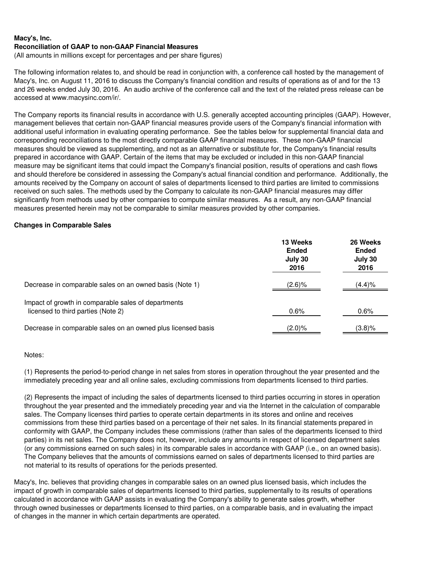(All amounts in millions except for percentages and per share figures)

The following information relates to, and should be read in conjunction with, a conference call hosted by the management of Macy's, Inc. on August 11, 2016 to discuss the Company's financial condition and results of operations as of and for the 13 and 26 weeks ended July 30, 2016. An audio archive of the conference call and the text of the related press release can be accessed at www.macysinc.com/ir/.

The Company reports its financial results in accordance with U.S. generally accepted accounting principles (GAAP). However, management believes that certain non-GAAP financial measures provide users of the Company's financial information with additional useful information in evaluating operating performance. See the tables below for supplemental financial data and corresponding reconciliations to the most directly comparable GAAP financial measures. These non-GAAP financial measures should be viewed as supplementing, and not as an alternative or substitute for, the Company's financial results prepared in accordance with GAAP. Certain of the items that may be excluded or included in this non-GAAP financial measure may be significant items that could impact the Company's financial position, results of operations and cash flows and should therefore be considered in assessing the Company's actual financial condition and performance. Additionally, the amounts received by the Company on account of sales of departments licensed to third parties are limited to commissions received on such sales. The methods used by the Company to calculate its non-GAAP financial measures may differ significantly from methods used by other companies to compute similar measures. As a result, any non-GAAP financial measures presented herein may not be comparable to similar measures provided by other companies.

# **Changes in Comparable Sales**

|                                                                                           | 13 Weeks<br><b>Ended</b><br>July 30<br>2016 | 26 Weeks<br><b>Ended</b><br>July 30<br>2016 |
|-------------------------------------------------------------------------------------------|---------------------------------------------|---------------------------------------------|
| Decrease in comparable sales on an owned basis (Note 1)                                   | (2.6)%                                      | (4.4)%                                      |
| Impact of growth in comparable sales of departments<br>licensed to third parties (Note 2) | $0.6\%$                                     | 0.6%                                        |
| Decrease in comparable sales on an owned plus licensed basis                              | $(2.0)\%$                                   | $(3.8)\%$                                   |

# Notes:

(1) Represents the period-to-period change in net sales from stores in operation throughout the year presented and the immediately preceding year and all online sales, excluding commissions from departments licensed to third parties.

(2) Represents the impact of including the sales of departments licensed to third parties occurring in stores in operation throughout the year presented and the immediately preceding year and via the Internet in the calculation of comparable sales. The Company licenses third parties to operate certain departments in its stores and online and receives commissions from these third parties based on a percentage of their net sales. In its financial statements prepared in conformity with GAAP, the Company includes these commissions (rather than sales of the departments licensed to third parties) in its net sales. The Company does not, however, include any amounts in respect of licensed department sales (or any commissions earned on such sales) in its comparable sales in accordance with GAAP (i.e., on an owned basis). The Company believes that the amounts of commissions earned on sales of departments licensed to third parties are not material to its results of operations for the periods presented.

Macy's, Inc. believes that providing changes in comparable sales on an owned plus licensed basis, which includes the impact of growth in comparable sales of departments licensed to third parties, supplementally to its results of operations calculated in accordance with GAAP assists in evaluating the Company's ability to generate sales growth, whether through owned businesses or departments licensed to third parties, on a comparable basis, and in evaluating the impact of changes in the manner in which certain departments are operated.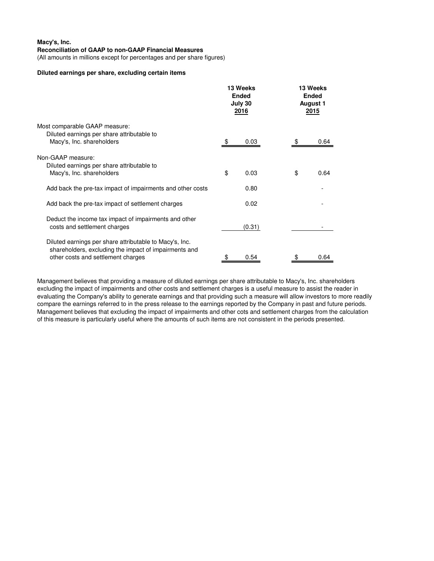(All amounts in millions except for percentages and per share figures)

#### **Diluted earnings per share, excluding certain items**

|                                                                                                                                                        |    | 13 Weeks<br><b>Ended</b><br>July 30<br>2016 |  | 13 Weeks<br><b>Ended</b><br><b>August 1</b><br><u> 2015</u> |      |
|--------------------------------------------------------------------------------------------------------------------------------------------------------|----|---------------------------------------------|--|-------------------------------------------------------------|------|
| Most comparable GAAP measure:<br>Diluted earnings per share attributable to                                                                            |    |                                             |  |                                                             |      |
| Macy's, Inc. shareholders                                                                                                                              |    | 0.03                                        |  |                                                             | 0.64 |
| Non-GAAP measure:<br>Diluted earnings per share attributable to                                                                                        |    |                                             |  |                                                             |      |
| Macy's, Inc. shareholders                                                                                                                              | \$ | 0.03                                        |  | \$                                                          | 0.64 |
| Add back the pre-tax impact of impairments and other costs                                                                                             |    | 0.80                                        |  |                                                             |      |
| Add back the pre-tax impact of settlement charges                                                                                                      |    | 0.02                                        |  |                                                             |      |
| Deduct the income tax impact of impairments and other<br>costs and settlement charges                                                                  |    | (0.31)                                      |  |                                                             |      |
| Diluted earnings per share attributable to Macy's, Inc.<br>shareholders, excluding the impact of impairments and<br>other costs and settlement charges | \$ | 0.54                                        |  | \$                                                          | 0.64 |

Management believes that providing a measure of diluted earnings per share attributable to Macy's, Inc. shareholders excluding the impact of impairments and other costs and settlement charges is a useful measure to assist the reader in evaluating the Company's ability to generate earnings and that providing such a measure will allow investors to more readily compare the earnings referred to in the press release to the earnings reported by the Company in past and future periods. Management believes that excluding the impact of impairments and other cots and settlement charges from the calculation of this measure is particularly useful where the amounts of such items are not consistent in the periods presented.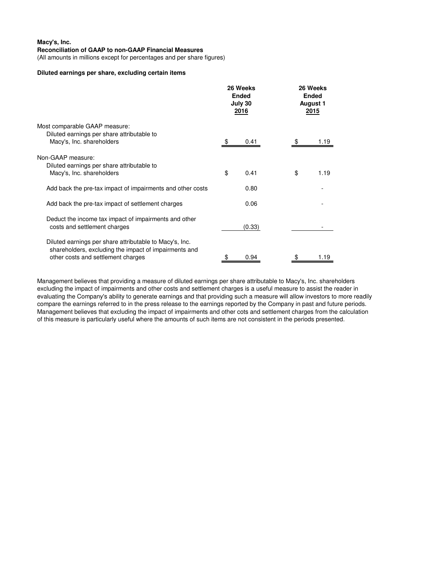(All amounts in millions except for percentages and per share figures)

#### **Diluted earnings per share, excluding certain items**

|                                                                                                                                                        |    | 26 Weeks<br><b>Ended</b><br>July 30<br>2016 |  | 26 Weeks<br><b>Ended</b><br><b>August 1</b><br>2015 |      |
|--------------------------------------------------------------------------------------------------------------------------------------------------------|----|---------------------------------------------|--|-----------------------------------------------------|------|
| Most comparable GAAP measure:                                                                                                                          |    |                                             |  |                                                     |      |
| Diluted earnings per share attributable to<br>Macy's, Inc. shareholders                                                                                |    | 0.41                                        |  |                                                     | 1.19 |
| Non-GAAP measure:                                                                                                                                      |    |                                             |  |                                                     |      |
| Diluted earnings per share attributable to<br>Macy's, Inc. shareholders                                                                                | \$ | 0.41                                        |  | \$                                                  | 1.19 |
| Add back the pre-tax impact of impairments and other costs                                                                                             |    | 0.80                                        |  |                                                     |      |
| Add back the pre-tax impact of settlement charges                                                                                                      |    | 0.06                                        |  |                                                     |      |
| Deduct the income tax impact of impairments and other<br>costs and settlement charges                                                                  |    | (0.33)                                      |  |                                                     |      |
| Diluted earnings per share attributable to Macy's, Inc.<br>shareholders, excluding the impact of impairments and<br>other costs and settlement charges | \$ | 0.94                                        |  | \$                                                  | 1.19 |

Management believes that providing a measure of diluted earnings per share attributable to Macy's, Inc. shareholders excluding the impact of impairments and other costs and settlement charges is a useful measure to assist the reader in evaluating the Company's ability to generate earnings and that providing such a measure will allow investors to more readily compare the earnings referred to in the press release to the earnings reported by the Company in past and future periods. Management believes that excluding the impact of impairments and other cots and settlement charges from the calculation of this measure is particularly useful where the amounts of such items are not consistent in the periods presented.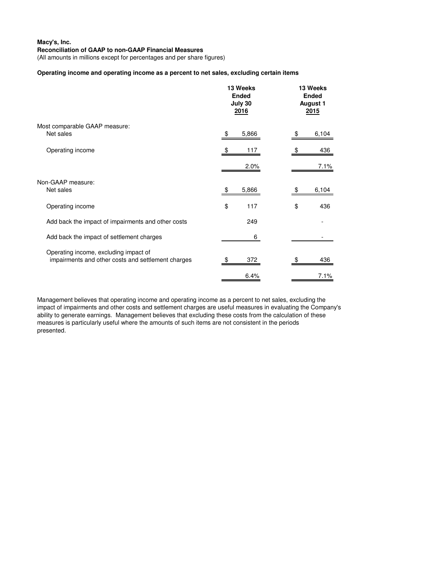(All amounts in millions except for percentages and per share figures)

### **Operating income and operating income as a percent to net sales, excluding certain items**

|                                                                                             | 13 Weeks<br><b>Ended</b><br>July 30<br><u> 2016</u> | 13 Weeks<br><b>Ended</b><br><b>August 1</b><br>2015 |  |
|---------------------------------------------------------------------------------------------|-----------------------------------------------------|-----------------------------------------------------|--|
| Most comparable GAAP measure:<br>Net sales                                                  | 5,866<br>\$                                         | 6,104                                               |  |
| Operating income                                                                            | 117                                                 | 436                                                 |  |
|                                                                                             | 2.0%                                                | 7.1%                                                |  |
| Non-GAAP measure:<br>Net sales                                                              | 5,866<br>\$                                         | 6,104<br>\$                                         |  |
| Operating income                                                                            | \$<br>117                                           | \$<br>436                                           |  |
| Add back the impact of impairments and other costs                                          | 249                                                 |                                                     |  |
| Add back the impact of settlement charges                                                   | 6                                                   |                                                     |  |
| Operating income, excluding impact of<br>impairments and other costs and settlement charges | 372<br>\$                                           | 436                                                 |  |
|                                                                                             | 6.4%                                                | 7.1%                                                |  |

Management believes that operating income and operating income as a percent to net sales, excluding the impact of impairments and other costs and settlement charges are useful measures in evaluating the Company's ability to generate earnings. Management believes that excluding these costs from the calculation of these measures is particularly useful where the amounts of such items are not consistent in the periods presented.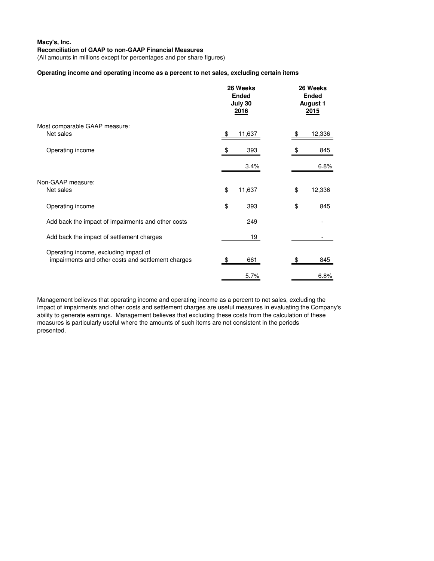(All amounts in millions except for percentages and per share figures)

### **Operating income and operating income as a percent to net sales, excluding certain items**

|                                                                                             | 26 Weeks<br><b>Ended</b><br>July 30<br><u> 2016</u> | 26 Weeks<br><b>Ended</b><br><b>August 1</b><br><u>2015</u> |  |
|---------------------------------------------------------------------------------------------|-----------------------------------------------------|------------------------------------------------------------|--|
| Most comparable GAAP measure:<br>Net sales                                                  | 11,637                                              | 12,336                                                     |  |
| Operating income                                                                            | 393                                                 | 845                                                        |  |
|                                                                                             | 3.4%                                                | 6.8%                                                       |  |
| Non-GAAP measure:<br>Net sales                                                              | 11,637<br>\$                                        | 12,336<br>\$.                                              |  |
| Operating income                                                                            | \$<br>393                                           | \$<br>845                                                  |  |
| Add back the impact of impairments and other costs                                          | 249                                                 |                                                            |  |
| Add back the impact of settlement charges                                                   | 19                                                  |                                                            |  |
| Operating income, excluding impact of<br>impairments and other costs and settlement charges | 661<br>\$                                           | 845<br>\$                                                  |  |
|                                                                                             | 5.7%                                                | 6.8%                                                       |  |

Management believes that operating income and operating income as a percent to net sales, excluding the impact of impairments and other costs and settlement charges are useful measures in evaluating the Company's ability to generate earnings. Management believes that excluding these costs from the calculation of these measures is particularly useful where the amounts of such items are not consistent in the periods presented.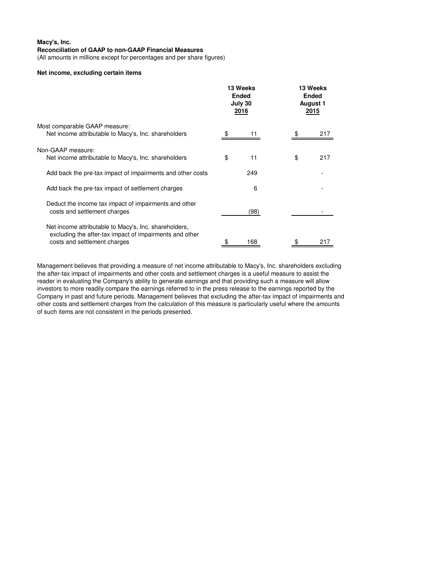(All amounts in millions except for percentages and per share figures)

### **Net income, excluding certain items**

|                                                                                                                                                  | 13 Weeks<br><b>Ended</b><br>July 30<br><u> 2016</u> |  | 13 Weeks<br><b>Ended</b><br><b>August 1</b><br><u> 2015</u> |     |
|--------------------------------------------------------------------------------------------------------------------------------------------------|-----------------------------------------------------|--|-------------------------------------------------------------|-----|
| Most comparable GAAP measure:                                                                                                                    |                                                     |  |                                                             |     |
| Net income attributable to Macy's, Inc. shareholders                                                                                             | 11                                                  |  |                                                             | 217 |
| Non-GAAP measure:                                                                                                                                |                                                     |  |                                                             |     |
| Net income attributable to Macy's, Inc. shareholders                                                                                             | \$<br>11                                            |  | \$                                                          | 217 |
| Add back the pre-tax impact of impairments and other costs                                                                                       | 249                                                 |  |                                                             |     |
| Add back the pre-tax impact of settlement charges                                                                                                | 6                                                   |  |                                                             |     |
| Deduct the income tax impact of impairments and other<br>costs and settlement charges                                                            | (98)                                                |  |                                                             |     |
| Net income attributable to Macy's, Inc. shareholders,<br>excluding the after-tax impact of impairments and other<br>costs and settlement charges | \$<br>168                                           |  |                                                             | 217 |

Management believes that providing a measure of net income attributable to Macy's, Inc. shareholders excluding the after-tax impact of impairments and other costs and settlement charges is a useful measure to assist the reader in evaluating the Company's ability to generate earnings and that providing such a measure will allow investors to more readily compare the earnings referred to in the press release to the earnings reported by the Company in past and future periods. Management believes that excluding the after-tax impact of impairments and other costs and settlement charges from the calculation of this measure is particularly useful where the amounts of such items are not consistent in the periods presented.